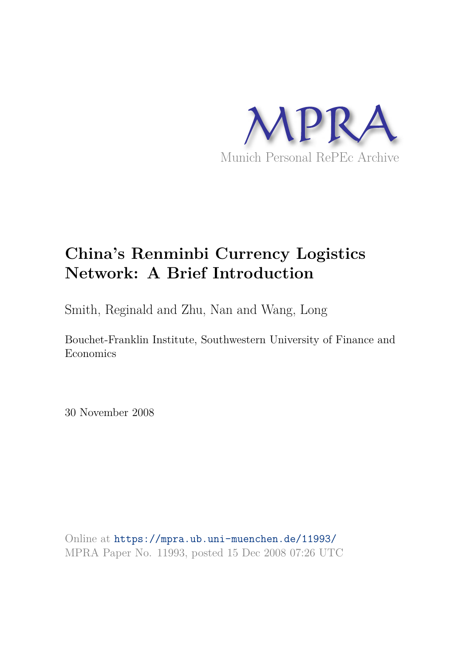

# **China's Renminbi Currency Logistics Network: A Brief Introduction**

Smith, Reginald and Zhu, Nan and Wang, Long

Bouchet-Franklin Institute, Southwestern University of Finance and Economics

30 November 2008

Online at https://mpra.ub.uni-muenchen.de/11993/ MPRA Paper No. 11993, posted 15 Dec 2008 07:26 UTC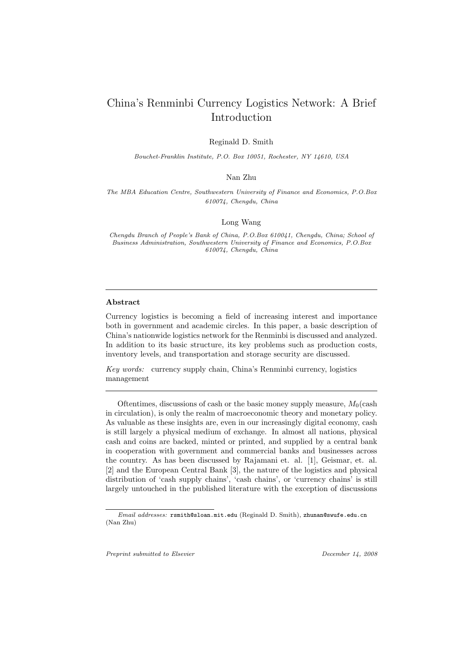## China's Renminbi Currency Logistics Network: A Brief Introduction

Reginald D. Smith

*Bouchet-Franklin Institute, P.O. Box 10051, Rochester, NY 14610, USA*

#### Nan Zhu

*The MBA Education Centre, Southwestern University of Finance and Economics, P.O.Box 610074, Chengdu, China*

#### Long Wang

*Chengdu Branch of People's Bank of China, P.O.Box 610041, Chengdu, China; School of Business Administration, Southwestern University of Finance and Economics, P.O.Box 610074, Chengdu, China*

#### Abstract

Currency logistics is becoming a field of increasing interest and importance both in government and academic circles. In this paper, a basic description of China's nationwide logistics network for the Renminbi is discussed and analyzed. In addition to its basic structure, its key problems such as production costs, inventory levels, and transportation and storage security are discussed.

Key words: currency supply chain, China's Renminbi currency, logistics management

Oftentimes, discussions of cash or the basic money supply measure,  $M_0$ (cash in circulation), is only the realm of macroeconomic theory and monetary policy. As valuable as these insights are, even in our increasingly digital economy, cash is still largely a physical medium of exchange. In almost all nations, physical cash and coins are backed, minted or printed, and supplied by a central bank in cooperation with government and commercial banks and businesses across the country. As has been discussed by Rajamani et. al. [1], Geismar, et. al. [2] and the European Central Bank [3], the nature of the logistics and physical distribution of 'cash supply chains', 'cash chains', or 'currency chains' is still largely untouched in the published literature with the exception of discussions

*Preprint submitted to Elsevier December 14, 2008*

*Email addresses:* rsmith@sloan.mit.edu (Reginald D. Smith), zhunan@swufe.edu.cn (Nan Zhu)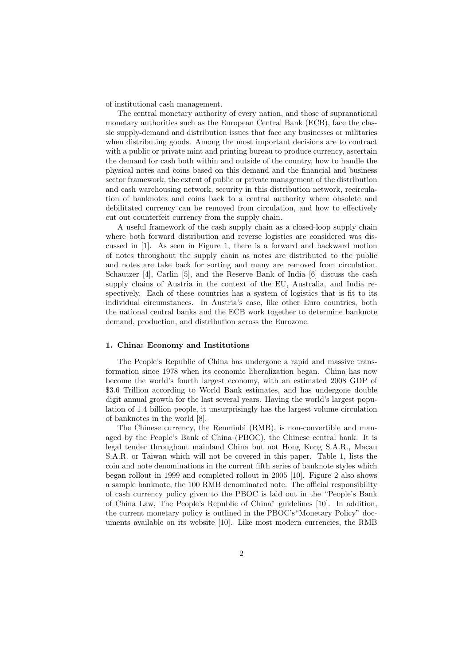of institutional cash management.

The central monetary authority of every nation, and those of supranational monetary authorities such as the European Central Bank (ECB), face the classic supply-demand and distribution issues that face any businesses or militaries when distributing goods. Among the most important decisions are to contract with a public or private mint and printing bureau to produce currency, ascertain the demand for cash both within and outside of the country, how to handle the physical notes and coins based on this demand and the financial and business sector framework, the extent of public or private management of the distribution and cash warehousing network, security in this distribution network, recirculation of banknotes and coins back to a central authority where obsolete and debilitated currency can be removed from circulation, and how to effectively cut out counterfeit currency from the supply chain.

A useful framework of the cash supply chain as a closed-loop supply chain where both forward distribution and reverse logistics are considered was discussed in [1]. As seen in Figure 1, there is a forward and backward motion of notes throughout the supply chain as notes are distributed to the public and notes are take back for sorting and many are removed from circulation. Schautzer [4], Carlin [5], and the Reserve Bank of India [6] discuss the cash supply chains of Austria in the context of the EU, Australia, and India respectively. Each of these countries has a system of logistics that is fit to its individual circumstances. In Austria's case, like other Euro countries, both the national central banks and the ECB work together to determine banknote demand, production, and distribution across the Eurozone.

#### 1. China: Economy and Institutions

The People's Republic of China has undergone a rapid and massive transformation since 1978 when its economic liberalization began. China has now become the world's fourth largest economy, with an estimated 2008 GDP of \$3.6 Trillion according to World Bank estimates, and has undergone double digit annual growth for the last several years. Having the world's largest population of 1.4 billion people, it unsurprisingly has the largest volume circulation of banknotes in the world [8].

The Chinese currency, the Renminbi (RMB), is non-convertible and managed by the People's Bank of China (PBOC), the Chinese central bank. It is legal tender throughout mainland China but not Hong Kong S.A.R., Macau S.A.R. or Taiwan which will not be covered in this paper. Table 1, lists the coin and note denominations in the current fifth series of banknote styles which began rollout in 1999 and completed rollout in 2005 [10]. Figure 2 also shows a sample banknote, the 100 RMB denominated note. The official responsibility of cash currency policy given to the PBOC is laid out in the "People's Bank of China Law, The People's Republic of China" guidelines [10]. In addition, the current monetary policy is outlined in the PBOC's"Monetary Policy" documents available on its website [10]. Like most modern currencies, the RMB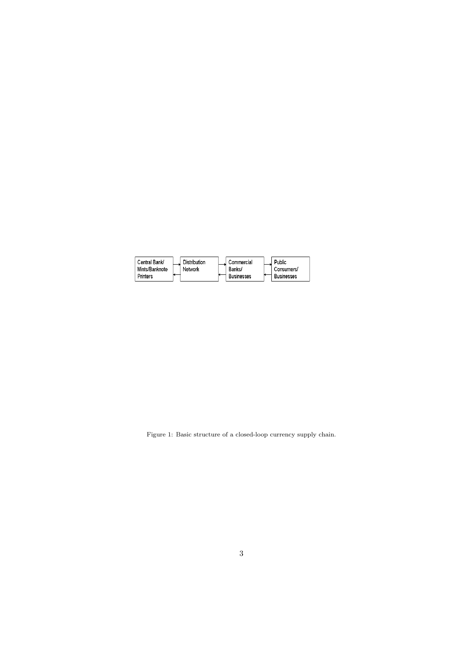| Central Bank/   | Distribution | Commercial        | Public            |
|-----------------|--------------|-------------------|-------------------|
| Mints/Banknote  | Network      | Banks/            | Consumers/        |
| <b>Printers</b> |              | <b>Businesses</b> | <b>Businesses</b> |

Figure 1: Basic structure of a closed-loop currency supply chain.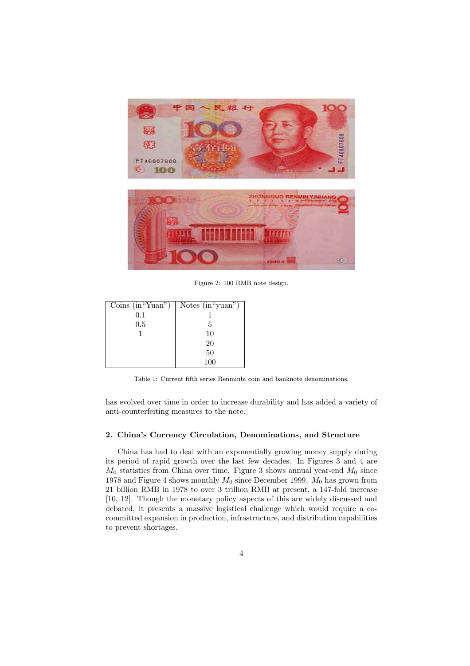

Figure 2: 100 RMB note design.

| Coins $(in "Yuan")$ | Notes $(in "yuan")$ |
|---------------------|---------------------|
| 0.1                 |                     |
| 0.5                 | .5                  |
|                     | 10                  |
|                     | 20                  |
|                     | 50                  |
|                     | 100                 |

Table 1: Current fifth series Renminbi coin and banknote denominations.

has evolved over time in order to increase durability and has added a variety of anti-counterfeiting measures to the note.

#### 2. China's Currency Circulation, Denominations, and Structure

China has had to deal with an exponentially growing money supply during its period of rapid growth over the last few decades. In Figures 3 and 4 are  $M_0$  statistics from China over time. Figure 3 shows annual year-end  $M_0$  since 1978 and Figure 4 shows monthly  $M_0$  since December 1999.  $M_0$  has grown from 21 billion RMB in 1978 to over 3 trillion RMB at present, a 147-fold increase [10, 12]. Though the monetary policy aspects of this are widely discussed and debated, it presents a massive logistical challenge which would require a cocommitted expansion in production, infrastructure, and distribution capabilities to prevent shortages.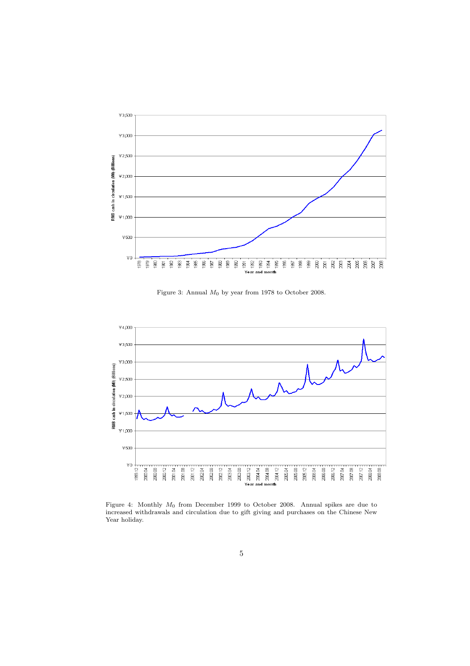

Figure 3: Annual  $M_0$  by year from 1978 to October 2008.



Figure 4: Monthly M<sup>0</sup> from December 1999 to October 2008. Annual spikes are due to increased withdrawals and circulation due to gift giving and purchases on the Chinese New Year holiday.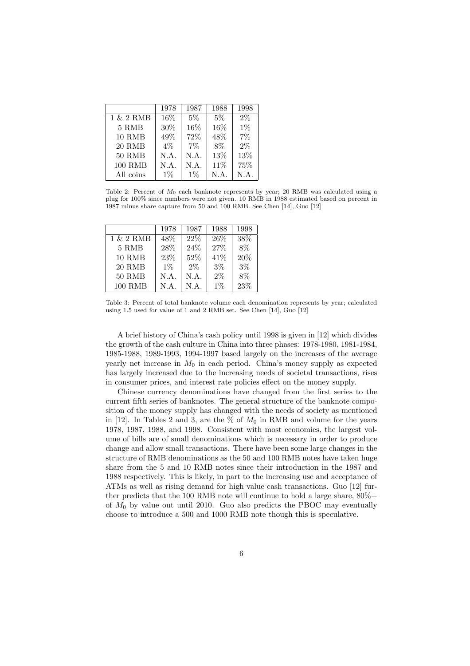|                | 1978  | 1987  | 1988    | 1998  |
|----------------|-------|-------|---------|-------|
| $1 \& 2$ RMB   | 16\%  | $5\%$ | 5%      | $2\%$ |
| 5 RMB          | 30%   | 16\%  | 16\%    | $1\%$ |
| <b>10 RMB</b>  | 49\%  | 72%   | 48\%    | $7\%$ |
| 20 RMB         | $4\%$ | $7\%$ | $8\%$   | $2\%$ |
| <b>50 RMB</b>  | N.A.  | N.A.  | 13%     | 13%   |
| <b>100 RMB</b> | N.A.  | N.A.  | 11\%    | 75%   |
| All coins      | $1\%$ | $1\%$ | $N.A$ . | N.A.  |

Table 2: Percent of  $M_0$  each banknote represents by year; 20 RMB was calculated using a plug for 100% since numbers were not given. 10 RMB in 1988 estimated based on percent in 1987 minus share capture from 50 and 100 RMB. See Chen [14], Guo [12]

|                | 1978  | 1987  | 1988  | 1998  |
|----------------|-------|-------|-------|-------|
| 1 & 2 RMB      | 48\%  | 22%   | 26\%  | 38\%  |
| 5 RMB          | 28\%  | 24%   | 27%   | $8\%$ |
| <b>10 RMB</b>  | 23\%  | 52%   | 41\%  | 20%   |
| 20 RMB         | $1\%$ | $2\%$ | $3\%$ | $3\%$ |
| $50$ RMB       | N.A.  | N.A.  | $2\%$ | $8\%$ |
| <b>100 RMB</b> | N.A.  | N.A.  | $1\%$ | 23\%  |

Table 3: Percent of total banknote volume each denomination represents by year; calculated using 1.5 used for value of 1 and 2 RMB set. See Chen [14], Guo [12]

A brief history of China's cash policy until 1998 is given in [12] which divides the growth of the cash culture in China into three phases: 1978-1980, 1981-1984, 1985-1988, 1989-1993, 1994-1997 based largely on the increases of the average yearly net increase in  $M_0$  in each period. China's money supply as expected has largely increased due to the increasing needs of societal transactions, rises in consumer prices, and interest rate policies effect on the money supply.

Chinese currency denominations have changed from the first series to the current fifth series of banknotes. The general structure of the banknote composition of the money supply has changed with the needs of society as mentioned in [12]. In Tables 2 and 3, are the  $\%$  of  $M_0$  in RMB and volume for the years 1978, 1987, 1988, and 1998. Consistent with most economies, the largest volume of bills are of small denominations which is necessary in order to produce change and allow small transactions. There have been some large changes in the structure of RMB denominations as the 50 and 100 RMB notes have taken huge share from the 5 and 10 RMB notes since their introduction in the 1987 and 1988 respectively. This is likely, in part to the increasing use and acceptance of ATMs as well as rising demand for high value cash transactions. Guo [12] further predicts that the 100 RMB note will continue to hold a large share, 80%+ of  $M_0$  by value out until 2010. Guo also predicts the PBOC may eventually choose to introduce a 500 and 1000 RMB note though this is speculative.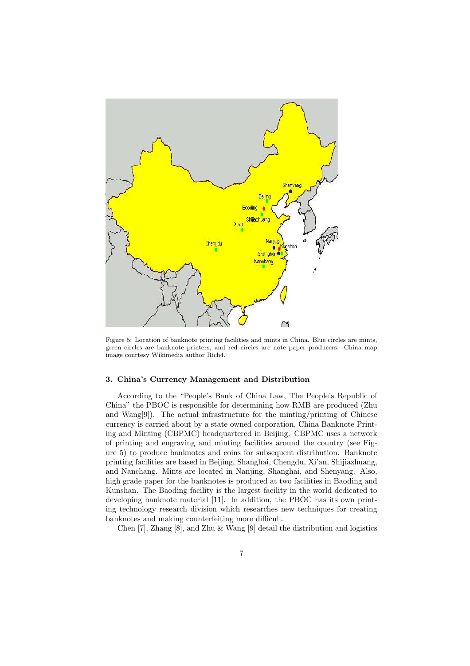

Figure 5: Location of banknote printing facilities and mints in China. Blue circles are mints, green circles are banknote printers, and red circles are note paper producers. China map image courtesy Wikimedia author Rich4.

#### 3. China's Currency Management and Distribution

According to the "People's Bank of China Law, The People's Republic of China" the PBOC is responsible for determining how RMB are produced (Zhu and Wang $[9]$ . The actual infrastructure for the minting/printing of Chinese currency is carried about by a state owned corporation, China Banknote Printing and Minting (CBPMC) headquartered in Beijing. CBPMC uses a network of printing and engraving and minting facilities around the country (see Figure 5) to produce banknotes and coins for subsequent distribution. Banknote printing facilities are based in Beijing, Shanghai, Chengdu, Xi'an, Shijiazhuang, and Nanchang. Mints are located in Nanjing, Shanghai, and Shenyang. Also, high grade paper for the banknotes is produced at two facilities in Baoding and Kunshan. The Baoding facility is the largest facility in the world dedicated to developing banknote material [11]. In addition, the PBOC has its own printing technology research division which researches new techniques for creating banknotes and making counterfeiting more difficult.

Chen [7], Zhang [8], and Zhu & Wang [9] detail the distribution and logistics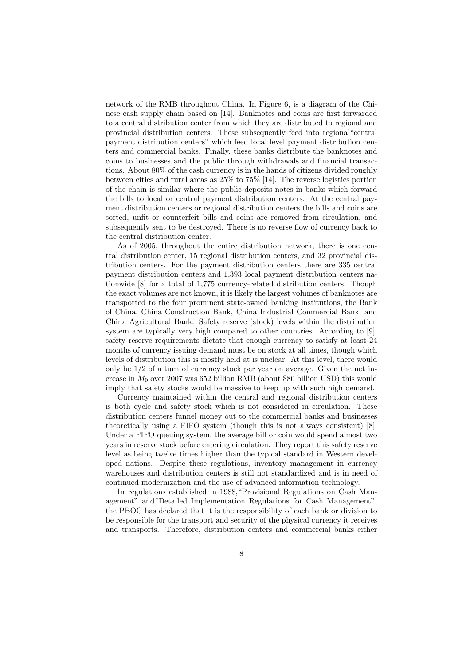network of the RMB throughout China. In Figure 6, is a diagram of the Chinese cash supply chain based on [14]. Banknotes and coins are first forwarded to a central distribution center from which they are distributed to regional and provincial distribution centers. These subsequently feed into regional"central payment distribution centers" which feed local level payment distribution centers and commercial banks. Finally, these banks distribute the banknotes and coins to businesses and the public through withdrawals and financial transactions. About 80% of the cash currency is in the hands of citizens divided roughly between cities and rural areas as 25% to 75% [14]. The reverse logistics portion of the chain is similar where the public deposits notes in banks which forward the bills to local or central payment distribution centers. At the central payment distribution centers or regional distribution centers the bills and coins are sorted, unfit or counterfeit bills and coins are removed from circulation, and subsequently sent to be destroyed. There is no reverse flow of currency back to the central distribution center.

As of 2005, throughout the entire distribution network, there is one central distribution center, 15 regional distribution centers, and 32 provincial distribution centers. For the payment distribution centers there are 335 central payment distribution centers and 1,393 local payment distribution centers nationwide [8] for a total of 1,775 currency-related distribution centers. Though the exact volumes are not known, it is likely the largest volumes of banknotes are transported to the four prominent state-owned banking institutions, the Bank of China, China Construction Bank, China Industrial Commercial Bank, and China Agricultural Bank. Safety reserve (stock) levels within the distribution system are typically very high compared to other countries. According to [9], safety reserve requirements dictate that enough currency to satisfy at least 24 months of currency issuing demand must be on stock at all times, though which levels of distribution this is mostly held at is unclear. At this level, there would only be 1/2 of a turn of currency stock per year on average. Given the net increase in  $M_0$  over 2007 was 652 billion RMB (about \$80 billion USD) this would imply that safety stocks would be massive to keep up with such high demand.

Currency maintained within the central and regional distribution centers is both cycle and safety stock which is not considered in circulation. These distribution centers funnel money out to the commercial banks and businesses theoretically using a FIFO system (though this is not always consistent) [8]. Under a FIFO queuing system, the average bill or coin would spend almost two years in reserve stock before entering circulation. They report this safety reserve level as being twelve times higher than the typical standard in Western developed nations. Despite these regulations, inventory management in currency warehouses and distribution centers is still not standardized and is in need of continued modernization and the use of advanced information technology.

In regulations established in 1988,"Provisional Regulations on Cash Management" and"Detailed Implementation Regulations for Cash Management", the PBOC has declared that it is the responsibility of each bank or division to be responsible for the transport and security of the physical currency it receives and transports. Therefore, distribution centers and commercial banks either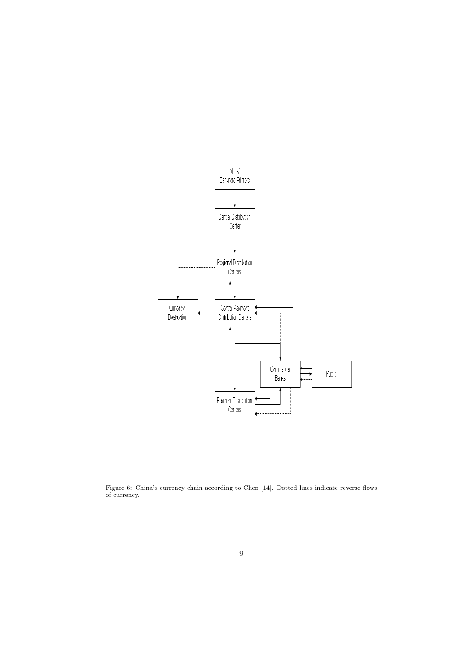

Figure 6: China's currency chain according to Chen [14]. Dotted lines indicate reverse flows of currency.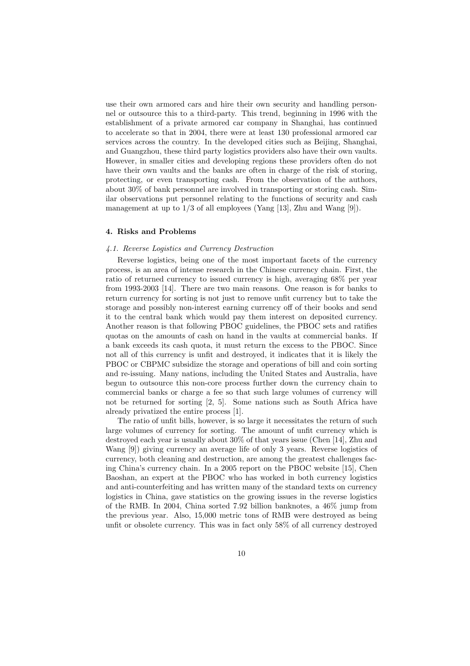use their own armored cars and hire their own security and handling personnel or outsource this to a third-party. This trend, beginning in 1996 with the establishment of a private armored car company in Shanghai, has continued to accelerate so that in 2004, there were at least 130 professional armored car services across the country. In the developed cities such as Beijing, Shanghai, and Guangzhou, these third party logistics providers also have their own vaults. However, in smaller cities and developing regions these providers often do not have their own vaults and the banks are often in charge of the risk of storing, protecting, or even transporting cash. From the observation of the authors, about 30% of bank personnel are involved in transporting or storing cash. Similar observations put personnel relating to the functions of security and cash management at up to  $1/3$  of all employees (Yang [13], Zhu and Wang [9]).

### 4. Risks and Problems

#### 4.1. Reverse Logistics and Currency Destruction

Reverse logistics, being one of the most important facets of the currency process, is an area of intense research in the Chinese currency chain. First, the ratio of returned currency to issued currency is high, averaging 68% per year from 1993-2003 [14]. There are two main reasons. One reason is for banks to return currency for sorting is not just to remove unfit currency but to take the storage and possibly non-interest earning currency off of their books and send it to the central bank which would pay them interest on deposited currency. Another reason is that following PBOC guidelines, the PBOC sets and ratifies quotas on the amounts of cash on hand in the vaults at commercial banks. If a bank exceeds its cash quota, it must return the excess to the PBOC. Since not all of this currency is unfit and destroyed, it indicates that it is likely the PBOC or CBPMC subsidize the storage and operations of bill and coin sorting and re-issuing. Many nations, including the United States and Australia, have begun to outsource this non-core process further down the currency chain to commercial banks or charge a fee so that such large volumes of currency will not be returned for sorting [2, 5]. Some nations such as South Africa have already privatized the entire process [1].

The ratio of unfit bills, however, is so large it necessitates the return of such large volumes of currency for sorting. The amount of unfit currency which is destroyed each year is usually about 30% of that years issue (Chen [14], Zhu and Wang [9]) giving currency an average life of only 3 years. Reverse logistics of currency, both cleaning and destruction, are among the greatest challenges facing China's currency chain. In a 2005 report on the PBOC website [15], Chen Baoshan, an expert at the PBOC who has worked in both currency logistics and anti-counterfeiting and has written many of the standard texts on currency logistics in China, gave statistics on the growing issues in the reverse logistics of the RMB. In 2004, China sorted 7.92 billion banknotes, a 46% jump from the previous year. Also, 15,000 metric tons of RMB were destroyed as being unfit or obsolete currency. This was in fact only 58% of all currency destroyed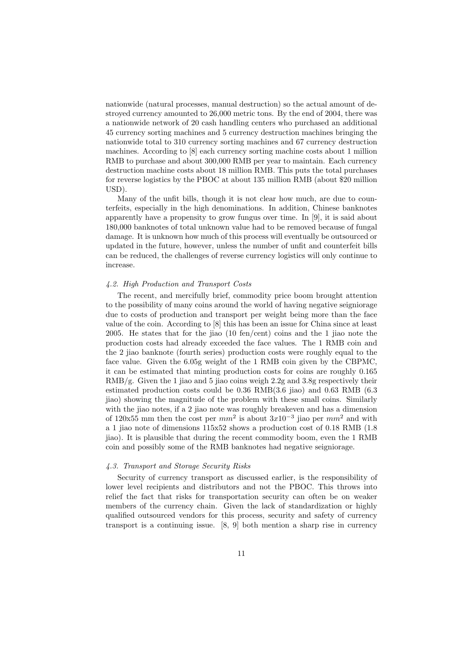nationwide (natural processes, manual destruction) so the actual amount of destroyed currency amounted to 26,000 metric tons. By the end of 2004, there was a nationwide network of 20 cash handling centers who purchased an additional 45 currency sorting machines and 5 currency destruction machines bringing the nationwide total to 310 currency sorting machines and 67 currency destruction machines. According to [8] each currency sorting machine costs about 1 million RMB to purchase and about 300,000 RMB per year to maintain. Each currency destruction machine costs about 18 million RMB. This puts the total purchases for reverse logistics by the PBOC at about 135 million RMB (about \$20 million USD).

Many of the unfit bills, though it is not clear how much, are due to counterfeits, especially in the high denominations. In addition, Chinese banknotes apparently have a propensity to grow fungus over time. In [9], it is said about 180,000 banknotes of total unknown value had to be removed because of fungal damage. It is unknown how much of this process will eventually be outsourced or updated in the future, however, unless the number of unfit and counterfeit bills can be reduced, the challenges of reverse currency logistics will only continue to increase.

#### 4.2. High Production and Transport Costs

The recent, and mercifully brief, commodity price boom brought attention to the possibility of many coins around the world of having negative seigniorage due to costs of production and transport per weight being more than the face value of the coin. According to [8] this has been an issue for China since at least 2005. He states that for the jiao (10 fen/cent) coins and the 1 jiao note the production costs had already exceeded the face values. The 1 RMB coin and the 2 jiao banknote (fourth series) production costs were roughly equal to the face value. Given the 6.05g weight of the 1 RMB coin given by the CBPMC, it can be estimated that minting production costs for coins are roughly 0.165  $RMB/g$ . Given the 1 jiao and 5 jiao coins weigh 2.2g and 3.8g respectively their estimated production costs could be 0.36 RMB(3.6 jiao) and 0.63 RMB (6.3 jiao) showing the magnitude of the problem with these small coins. Similarly with the jiao notes, if a 2 jiao note was roughly breakeven and has a dimension of 120x55 mm then the cost per  $mm^2$  is about  $3x10^{-3}$  jiao per  $mm^2$  and with a 1 jiao note of dimensions 115x52 shows a production cost of 0.18 RMB (1.8 jiao). It is plausible that during the recent commodity boom, even the 1 RMB coin and possibly some of the RMB banknotes had negative seigniorage.

#### 4.3. Transport and Storage Security Risks

Security of currency transport as discussed earlier, is the responsibility of lower level recipients and distributors and not the PBOC. This throws into relief the fact that risks for transportation security can often be on weaker members of the currency chain. Given the lack of standardization or highly qualified outsourced vendors for this process, security and safety of currency transport is a continuing issue. [8, 9] both mention a sharp rise in currency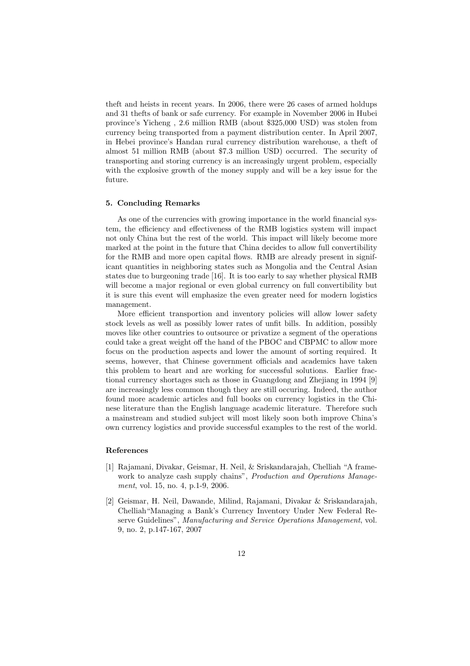theft and heists in recent years. In 2006, there were 26 cases of armed holdups and 31 thefts of bank or safe currency. For example in November 2006 in Hubei province's Yicheng , 2.6 million RMB (about \$325,000 USD) was stolen from currency being transported from a payment distribution center. In April 2007, in Hebei province's Handan rural currency distribution warehouse, a theft of almost 51 million RMB (about \$7.3 million USD) occurred. The security of transporting and storing currency is an increasingly urgent problem, especially with the explosive growth of the money supply and will be a key issue for the future.

#### 5. Concluding Remarks

As one of the currencies with growing importance in the world financial system, the efficiency and effectiveness of the RMB logistics system will impact not only China but the rest of the world. This impact will likely become more marked at the point in the future that China decides to allow full convertibility for the RMB and more open capital flows. RMB are already present in significant quantities in neighboring states such as Mongolia and the Central Asian states due to burgeoning trade [16]. It is too early to say whether physical RMB will become a major regional or even global currency on full convertibility but it is sure this event will emphasize the even greater need for modern logistics management.

More efficient transportion and inventory policies will allow lower safety stock levels as well as possibly lower rates of unfit bills. In addition, possibly moves like other countries to outsource or privatize a segment of the operations could take a great weight off the hand of the PBOC and CBPMC to allow more focus on the production aspects and lower the amount of sorting required. It seems, however, that Chinese government officials and academics have taken this problem to heart and are working for successful solutions. Earlier fractional currency shortages such as those in Guangdong and Zhejiang in 1994 [9] are increasingly less common though they are still occuring. Indeed, the author found more academic articles and full books on currency logistics in the Chinese literature than the English language academic literature. Therefore such a mainstream and studied subject will most likely soon both improve China's own currency logistics and provide successful examples to the rest of the world.

#### References

- [1] Rajamani, Divakar, Geismar, H. Neil, & Sriskandarajah, Chelliah "A framework to analyze cash supply chains", *Production and Operations Manage*ment, vol. 15, no. 4, p.1-9, 2006.
- [2] Geismar, H. Neil, Dawande, Milind, Rajamani, Divakar & Sriskandarajah, Chelliah"Managing a Bank's Currency Inventory Under New Federal Reserve Guidelines", Manufacturing and Service Operations Management, vol. 9, no. 2, p.147-167, 2007